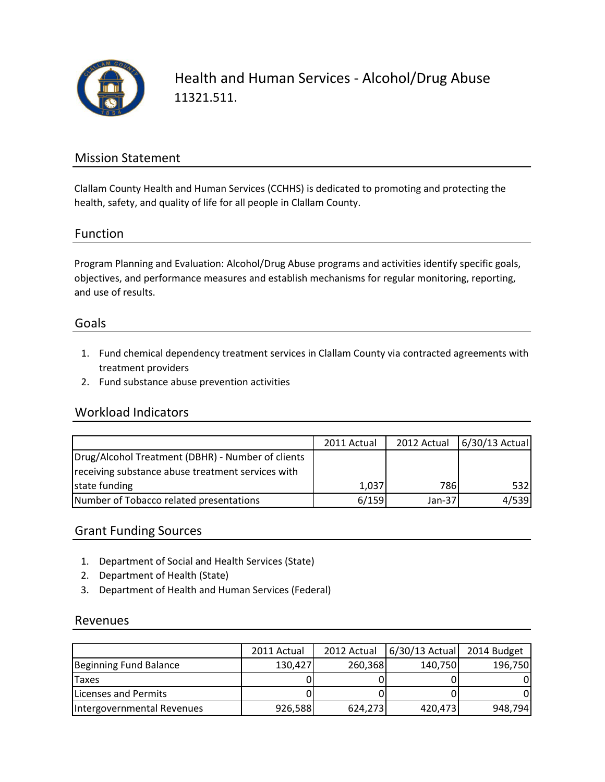

Health and Human Services - Alcohol/Drug Abuse 11321.511.

# Mission Statement

Clallam County Health and Human Services (CCHHS) is dedicated to promoting and protecting the health, safety, and quality of life for all people in Clallam County.

## Function

Program Planning and Evaluation: Alcohol/Drug Abuse programs and activities identify specific goals, objectives, and performance measures and establish mechanisms for regular monitoring, reporting, and use of results.

### Goals

- 1. Fund chemical dependency treatment services in Clallam County via contracted agreements with treatment providers
- 2. Fund substance abuse prevention activities

### Workload Indicators

|                                                   | 2011 Actual |          | 2012 Actual 6/30/13 Actual |
|---------------------------------------------------|-------------|----------|----------------------------|
| Drug/Alcohol Treatment (DBHR) - Number of clients |             |          |                            |
| receiving substance abuse treatment services with |             |          |                            |
| state funding                                     | 1,037       | 786I     | 532                        |
| Number of Tobacco related presentations           | 6/159       | $Jan-37$ | 4/539                      |

# Grant Funding Sources

- 1. Department of Social and Health Services (State)
- 2. Department of Health (State)
- 3. Department of Health and Human Services (Federal)

### Revenues

|                            | 2011 Actual | 2012 Actual | $6/30/13$ Actual | 2014 Budget |
|----------------------------|-------------|-------------|------------------|-------------|
| Beginning Fund Balance     | 130,427     | 260,368     | 140,750          | 196,750     |
| <b>ITaxes</b>              |             |             |                  |             |
| Licenses and Permits       |             |             |                  |             |
| Intergovernmental Revenues | 926,588     | 624,273     | 420,473          | 948,794     |